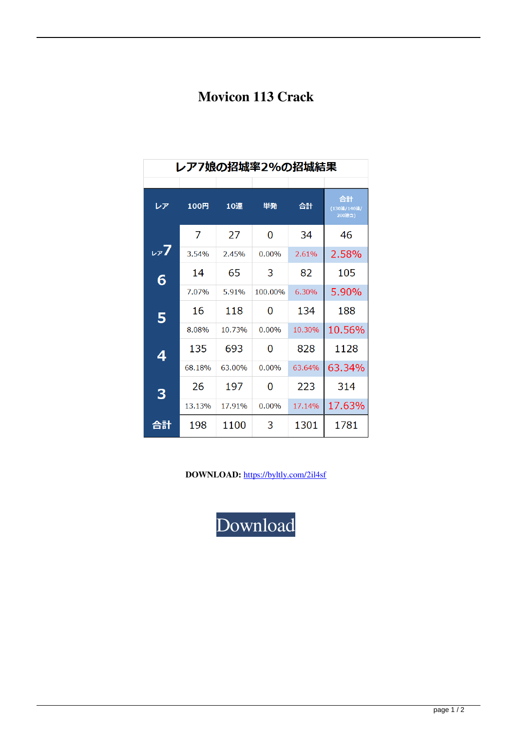## **Movicon 113 Crack**

| レア7娘の招城率2%の招城結果 |        |        |         |        |                             |
|-----------------|--------|--------|---------|--------|-----------------------------|
|                 |        |        |         |        |                             |
| レア              | 100円   | 10連    | 単発      | 合計     | 合計<br>(130連/140連/<br>200連含) |
|                 |        |        |         |        |                             |
|                 | 7      | 27     | 0       | 34     | 46                          |
| $\nu$ 7         | 3.54%  | 2.45%  | 0.00%   | 2.61%  | 2.58%                       |
| 6               | 14     | 65     | 3       | 82     | 105                         |
|                 | 7.07%  | 5.91%  | 100.00% | 6.30%  | 5.90%                       |
| 5               | 16     | 118    | O       | 134    | 188                         |
|                 | 8.08%  | 10.73% | 0.00%   | 10.30% | 10.56%                      |
| 4               | 135    | 693    | 0       | 828    | 1128                        |
|                 | 68.18% | 63.00% | 0.00%   | 63.64% | 63.34%                      |
| 3               | 26     | 197    | O       | 223    | 314                         |
|                 | 13.13% | 17.91% | 0.00%   | 17.14% | 17.63%                      |
| 合計              | 198    | 1100   | 3       | 1301   | 1781                        |

DOWNLOAD: https://byltly.com/2il4sf